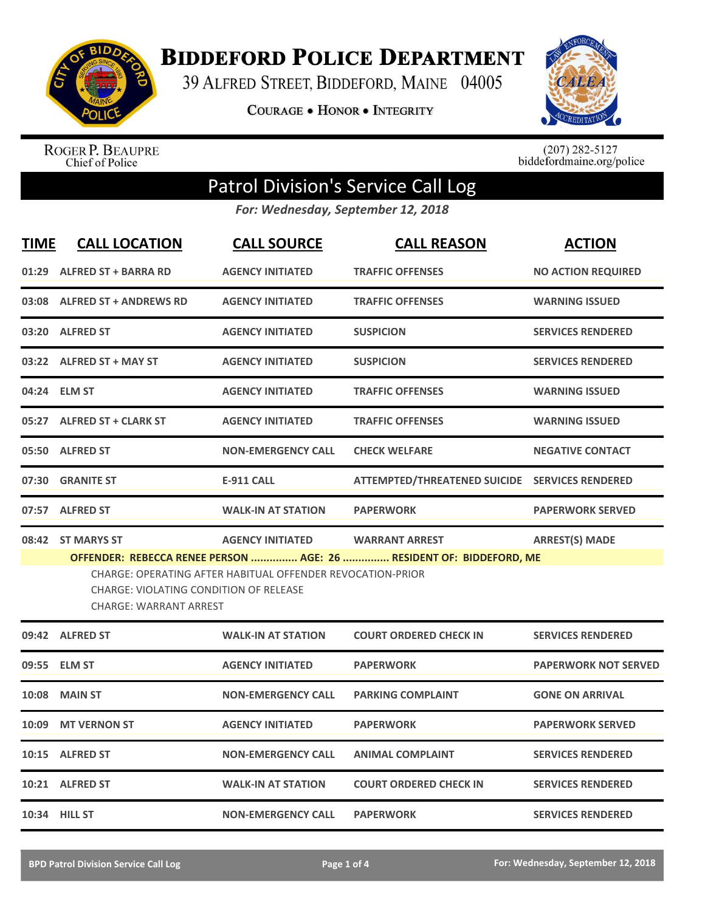

## **BIDDEFORD POLICE DEPARTMENT**

39 ALFRED STREET, BIDDEFORD, MAINE 04005

**COURAGE . HONOR . INTEGRITY** 



ROGER P. BEAUPRE<br>Chief of Police

 $(207)$  282-5127<br>biddefordmaine.org/police

## Patrol Division's Service Call Log

*For: Wednesday, September 12, 2018*

| <b>TIME</b> | <b>CALL LOCATION</b>                                                                                                                                                                                                | <b>CALL SOURCE</b>        | <b>CALL REASON</b>                             | <b>ACTION</b>               |  |
|-------------|---------------------------------------------------------------------------------------------------------------------------------------------------------------------------------------------------------------------|---------------------------|------------------------------------------------|-----------------------------|--|
| 01:29       | <b>ALFRED ST + BARRA RD</b>                                                                                                                                                                                         | <b>AGENCY INITIATED</b>   | <b>TRAFFIC OFFENSES</b>                        | <b>NO ACTION REQUIRED</b>   |  |
| 03:08       | <b>ALFRED ST + ANDREWS RD</b>                                                                                                                                                                                       | <b>AGENCY INITIATED</b>   | <b>TRAFFIC OFFENSES</b>                        | <b>WARNING ISSUED</b>       |  |
|             | 03:20 ALFRED ST                                                                                                                                                                                                     | <b>AGENCY INITIATED</b>   | <b>SUSPICION</b>                               | <b>SERVICES RENDERED</b>    |  |
|             | 03:22 ALFRED ST + MAY ST                                                                                                                                                                                            | <b>AGENCY INITIATED</b>   | <b>SUSPICION</b>                               | <b>SERVICES RENDERED</b>    |  |
| 04:24       | <b>ELM ST</b>                                                                                                                                                                                                       | <b>AGENCY INITIATED</b>   | <b>TRAFFIC OFFENSES</b>                        | <b>WARNING ISSUED</b>       |  |
| 05:27       | <b>ALFRED ST + CLARK ST</b>                                                                                                                                                                                         | <b>AGENCY INITIATED</b>   | <b>TRAFFIC OFFENSES</b>                        | <b>WARNING ISSUED</b>       |  |
| 05:50       | <b>ALFRED ST</b>                                                                                                                                                                                                    | <b>NON-EMERGENCY CALL</b> | <b>CHECK WELFARE</b>                           | <b>NEGATIVE CONTACT</b>     |  |
| 07:30       | <b>GRANITE ST</b>                                                                                                                                                                                                   | <b>E-911 CALL</b>         | ATTEMPTED/THREATENED SUICIDE SERVICES RENDERED |                             |  |
|             | 07:57 ALFRED ST                                                                                                                                                                                                     | <b>WALK-IN AT STATION</b> | <b>PAPERWORK</b>                               | <b>PAPERWORK SERVED</b>     |  |
|             | 08:42 ST MARYS ST                                                                                                                                                                                                   | <b>AGENCY INITIATED</b>   | <b>WARRANT ARREST</b>                          | <b>ARREST(S) MADE</b>       |  |
|             | OFFENDER: REBECCA RENEE PERSON  AGE: 26  RESIDENT OF: BIDDEFORD, ME<br>CHARGE: OPERATING AFTER HABITUAL OFFENDER REVOCATION-PRIOR<br><b>CHARGE: VIOLATING CONDITION OF RELEASE</b><br><b>CHARGE: WARRANT ARREST</b> |                           |                                                |                             |  |
|             | 09:42 ALFRED ST                                                                                                                                                                                                     | <b>WALK-IN AT STATION</b> | <b>COURT ORDERED CHECK IN</b>                  | <b>SERVICES RENDERED</b>    |  |
| 09:55       | <b>ELM ST</b>                                                                                                                                                                                                       | <b>AGENCY INITIATED</b>   | <b>PAPERWORK</b>                               | <b>PAPERWORK NOT SERVED</b> |  |
| 10:08       | <b>MAIN ST</b>                                                                                                                                                                                                      | <b>NON-EMERGENCY CALL</b> | <b>PARKING COMPLAINT</b>                       | <b>GONE ON ARRIVAL</b>      |  |
| 10:09       | <b>MT VERNON ST</b>                                                                                                                                                                                                 | <b>AGENCY INITIATED</b>   | <b>PAPERWORK</b>                               | <b>PAPERWORK SERVED</b>     |  |
| 10:15       | <b>ALFRED ST</b>                                                                                                                                                                                                    | <b>NON-EMERGENCY CALL</b> | <b>ANIMAL COMPLAINT</b>                        | <b>SERVICES RENDERED</b>    |  |
|             | 10:21 ALFRED ST                                                                                                                                                                                                     | <b>WALK-IN AT STATION</b> | <b>COURT ORDERED CHECK IN</b>                  | <b>SERVICES RENDERED</b>    |  |
|             | 10:34 HILL ST                                                                                                                                                                                                       | <b>NON-EMERGENCY CALL</b> | <b>PAPERWORK</b>                               | <b>SERVICES RENDERED</b>    |  |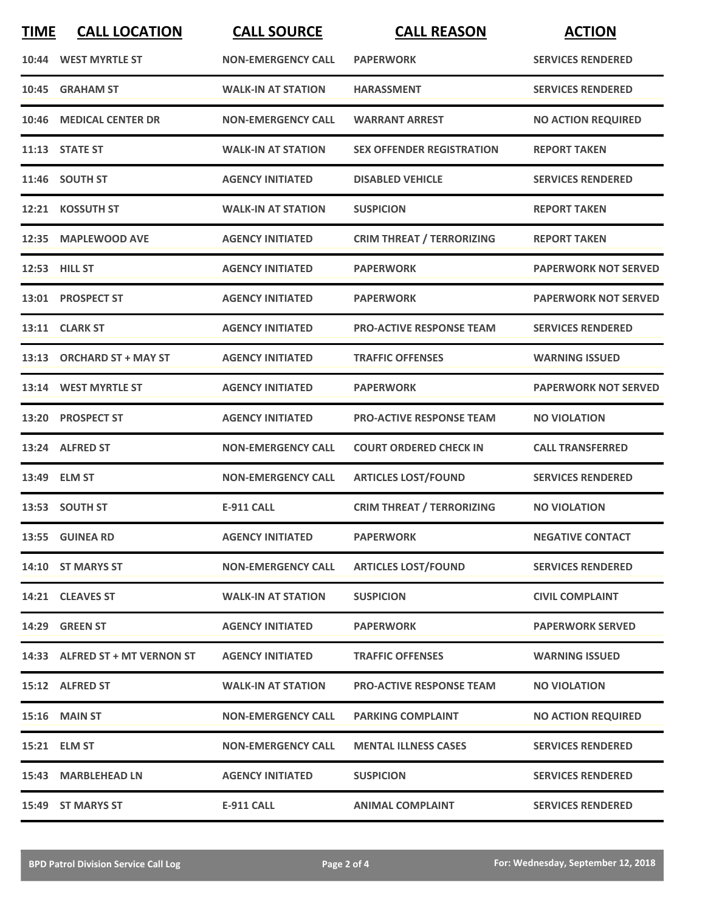| <b>TIME</b> | <b>CALL LOCATION</b>           | <b>CALL SOURCE</b>        | <b>CALL REASON</b>               | <b>ACTION</b>               |
|-------------|--------------------------------|---------------------------|----------------------------------|-----------------------------|
|             | 10:44 WEST MYRTLE ST           | <b>NON-EMERGENCY CALL</b> | <b>PAPERWORK</b>                 | <b>SERVICES RENDERED</b>    |
| 10:45       | <b>GRAHAM ST</b>               | <b>WALK-IN AT STATION</b> | <b>HARASSMENT</b>                | <b>SERVICES RENDERED</b>    |
| 10:46       | <b>MEDICAL CENTER DR</b>       | <b>NON-EMERGENCY CALL</b> | <b>WARRANT ARREST</b>            | <b>NO ACTION REQUIRED</b>   |
|             | 11:13 STATE ST                 | <b>WALK-IN AT STATION</b> | <b>SEX OFFENDER REGISTRATION</b> | <b>REPORT TAKEN</b>         |
|             | 11:46 SOUTH ST                 | <b>AGENCY INITIATED</b>   | <b>DISABLED VEHICLE</b>          | <b>SERVICES RENDERED</b>    |
|             | 12:21 KOSSUTH ST               | <b>WALK-IN AT STATION</b> | <b>SUSPICION</b>                 | <b>REPORT TAKEN</b>         |
| 12:35       | <b>MAPLEWOOD AVE</b>           | <b>AGENCY INITIATED</b>   | <b>CRIM THREAT / TERRORIZING</b> | <b>REPORT TAKEN</b>         |
|             | 12:53 HILL ST                  | <b>AGENCY INITIATED</b>   | <b>PAPERWORK</b>                 | <b>PAPERWORK NOT SERVED</b> |
|             | 13:01 PROSPECT ST              | <b>AGENCY INITIATED</b>   | <b>PAPERWORK</b>                 | <b>PAPERWORK NOT SERVED</b> |
|             | 13:11 CLARK ST                 | <b>AGENCY INITIATED</b>   | <b>PRO-ACTIVE RESPONSE TEAM</b>  | <b>SERVICES RENDERED</b>    |
|             | 13:13 ORCHARD ST + MAY ST      | <b>AGENCY INITIATED</b>   | <b>TRAFFIC OFFENSES</b>          | <b>WARNING ISSUED</b>       |
|             | 13:14 WEST MYRTLE ST           | <b>AGENCY INITIATED</b>   | <b>PAPERWORK</b>                 | <b>PAPERWORK NOT SERVED</b> |
| 13:20       | <b>PROSPECT ST</b>             | <b>AGENCY INITIATED</b>   | <b>PRO-ACTIVE RESPONSE TEAM</b>  | <b>NO VIOLATION</b>         |
|             | 13:24 ALFRED ST                | <b>NON-EMERGENCY CALL</b> | <b>COURT ORDERED CHECK IN</b>    | <b>CALL TRANSFERRED</b>     |
|             | 13:49 ELM ST                   | <b>NON-EMERGENCY CALL</b> | <b>ARTICLES LOST/FOUND</b>       | <b>SERVICES RENDERED</b>    |
|             | 13:53 SOUTH ST                 | <b>E-911 CALL</b>         | <b>CRIM THREAT / TERRORIZING</b> | <b>NO VIOLATION</b>         |
|             | 13:55 GUINEA RD                | <b>AGENCY INITIATED</b>   | <b>PAPERWORK</b>                 | <b>NEGATIVE CONTACT</b>     |
|             | 14:10 ST MARYS ST              | <b>NON-EMERGENCY CALL</b> | <b>ARTICLES LOST/FOUND</b>       | <b>SERVICES RENDERED</b>    |
|             | 14:21 CLEAVES ST               | <b>WALK-IN AT STATION</b> | <b>SUSPICION</b>                 | <b>CIVIL COMPLAINT</b>      |
|             | 14:29 GREEN ST                 | <b>AGENCY INITIATED</b>   | <b>PAPERWORK</b>                 | <b>PAPERWORK SERVED</b>     |
|             | 14:33 ALFRED ST + MT VERNON ST | <b>AGENCY INITIATED</b>   | <b>TRAFFIC OFFENSES</b>          | <b>WARNING ISSUED</b>       |
|             | 15:12 ALFRED ST                | <b>WALK-IN AT STATION</b> | <b>PRO-ACTIVE RESPONSE TEAM</b>  | <b>NO VIOLATION</b>         |
|             | <b>15:16 MAIN ST</b>           | <b>NON-EMERGENCY CALL</b> | <b>PARKING COMPLAINT</b>         | <b>NO ACTION REQUIRED</b>   |
|             | 15:21 ELM ST                   | <b>NON-EMERGENCY CALL</b> | <b>MENTAL ILLNESS CASES</b>      | <b>SERVICES RENDERED</b>    |
|             | 15:43 MARBLEHEAD LN            | <b>AGENCY INITIATED</b>   | <b>SUSPICION</b>                 | <b>SERVICES RENDERED</b>    |
|             | 15:49 ST MARYS ST              | <b>E-911 CALL</b>         | <b>ANIMAL COMPLAINT</b>          | <b>SERVICES RENDERED</b>    |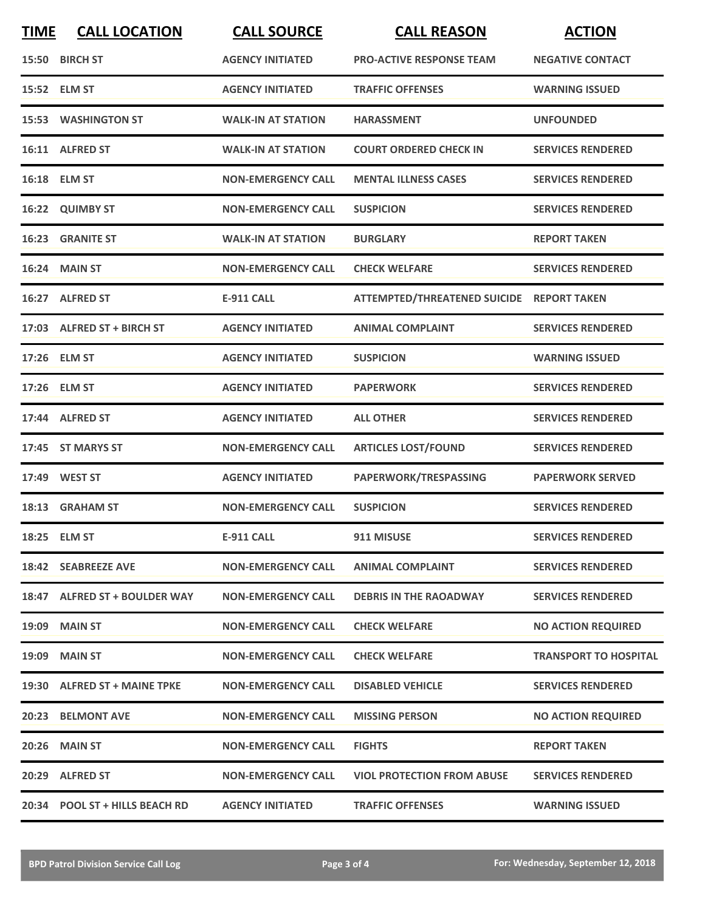| <b>TIME</b> | <b>CALL LOCATION</b>           | <b>CALL SOURCE</b>        | <b>CALL REASON</b>                        | <b>ACTION</b>                |
|-------------|--------------------------------|---------------------------|-------------------------------------------|------------------------------|
|             | 15:50 BIRCH ST                 | <b>AGENCY INITIATED</b>   | <b>PRO-ACTIVE RESPONSE TEAM</b>           | <b>NEGATIVE CONTACT</b>      |
|             | 15:52 ELM ST                   | <b>AGENCY INITIATED</b>   | <b>TRAFFIC OFFENSES</b>                   | <b>WARNING ISSUED</b>        |
|             | <b>15:53 WASHINGTON ST</b>     | <b>WALK-IN AT STATION</b> | <b>HARASSMENT</b>                         | <b>UNFOUNDED</b>             |
|             | 16:11 ALFRED ST                | <b>WALK-IN AT STATION</b> | <b>COURT ORDERED CHECK IN</b>             | <b>SERVICES RENDERED</b>     |
|             | 16:18 ELM ST                   | <b>NON-EMERGENCY CALL</b> | <b>MENTAL ILLNESS CASES</b>               | <b>SERVICES RENDERED</b>     |
|             | 16:22 QUIMBY ST                | <b>NON-EMERGENCY CALL</b> | <b>SUSPICION</b>                          | <b>SERVICES RENDERED</b>     |
|             | 16:23 GRANITE ST               | <b>WALK-IN AT STATION</b> | <b>BURGLARY</b>                           | <b>REPORT TAKEN</b>          |
|             | 16:24 MAIN ST                  | <b>NON-EMERGENCY CALL</b> | <b>CHECK WELFARE</b>                      | <b>SERVICES RENDERED</b>     |
| 16:27       | <b>ALFRED ST</b>               | <b>E-911 CALL</b>         | ATTEMPTED/THREATENED SUICIDE REPORT TAKEN |                              |
|             | 17:03 ALFRED ST + BIRCH ST     | <b>AGENCY INITIATED</b>   | <b>ANIMAL COMPLAINT</b>                   | <b>SERVICES RENDERED</b>     |
|             | 17:26 ELM ST                   | <b>AGENCY INITIATED</b>   | <b>SUSPICION</b>                          | <b>WARNING ISSUED</b>        |
|             | 17:26 ELM ST                   | <b>AGENCY INITIATED</b>   | <b>PAPERWORK</b>                          | <b>SERVICES RENDERED</b>     |
|             | 17:44 ALFRED ST                | <b>AGENCY INITIATED</b>   | <b>ALL OTHER</b>                          | <b>SERVICES RENDERED</b>     |
|             | 17:45 ST MARYS ST              | <b>NON-EMERGENCY CALL</b> | <b>ARTICLES LOST/FOUND</b>                | <b>SERVICES RENDERED</b>     |
|             | 17:49 WEST ST                  | <b>AGENCY INITIATED</b>   | PAPERWORK/TRESPASSING                     | <b>PAPERWORK SERVED</b>      |
|             | 18:13 GRAHAM ST                | <b>NON-EMERGENCY CALL</b> | <b>SUSPICION</b>                          | <b>SERVICES RENDERED</b>     |
|             | 18:25 ELM ST                   | <b>E-911 CALL</b>         | 911 MISUSE                                | <b>SERVICES RENDERED</b>     |
|             | 18:42 SEABREEZE AVE            | <b>NON-EMERGENCY CALL</b> | <b>ANIMAL COMPLAINT</b>                   | <b>SERVICES RENDERED</b>     |
|             | 18:47 ALFRED ST + BOULDER WAY  | <b>NON-EMERGENCY CALL</b> | <b>DEBRIS IN THE RAOADWAY</b>             | <b>SERVICES RENDERED</b>     |
|             | <b>19:09 MAIN ST</b>           | <b>NON-EMERGENCY CALL</b> | <b>CHECK WELFARE</b>                      | <b>NO ACTION REQUIRED</b>    |
|             | 19:09 MAIN ST                  | <b>NON-EMERGENCY CALL</b> | <b>CHECK WELFARE</b>                      | <b>TRANSPORT TO HOSPITAL</b> |
|             | 19:30 ALFRED ST + MAINE TPKE   | <b>NON-EMERGENCY CALL</b> | <b>DISABLED VEHICLE</b>                   | <b>SERVICES RENDERED</b>     |
|             | 20:23 BELMONT AVE              | <b>NON-EMERGENCY CALL</b> | <b>MISSING PERSON</b>                     | <b>NO ACTION REQUIRED</b>    |
|             | 20:26 MAIN ST                  | <b>NON-EMERGENCY CALL</b> | <b>FIGHTS</b>                             | <b>REPORT TAKEN</b>          |
|             | 20:29 ALFRED ST                | <b>NON-EMERGENCY CALL</b> | <b>VIOL PROTECTION FROM ABUSE</b>         | <b>SERVICES RENDERED</b>     |
|             | 20:34 POOL ST + HILLS BEACH RD | <b>AGENCY INITIATED</b>   | <b>TRAFFIC OFFENSES</b>                   | <b>WARNING ISSUED</b>        |